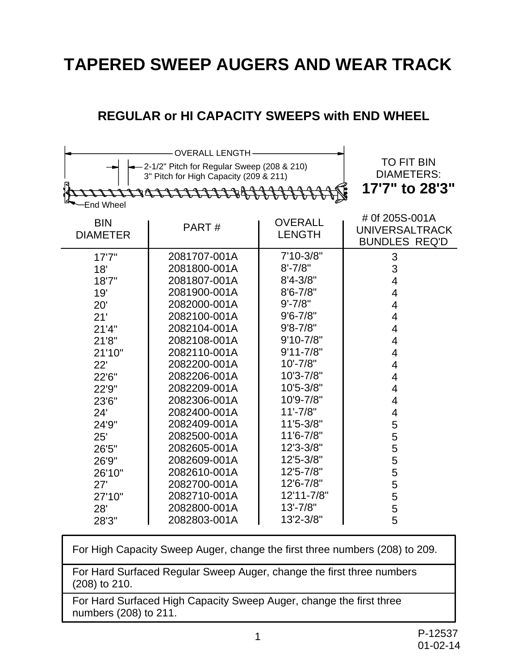# **TAPERED SWEEP AUGERS AND WEAR TRACK**

#### **REGULAR or HI CAPACITY SWEEPS with END WHEEL**

| $-2-1/2$ " Pitch for Regular Sweep (208 & 210)<br>3" Pitch for High Capacity (209 & 211)<br>raccocococo dell'<br><b>End Wheel</b> | <b>TO FIT BIN</b><br><b>DIAMETERS:</b><br>17'7" to 28'3" |               |                                                                 |
|-----------------------------------------------------------------------------------------------------------------------------------|----------------------------------------------------------|---------------|-----------------------------------------------------------------|
| <b>BIN</b><br><b>DIAMETER</b>                                                                                                     | PART#                                                    |               | # 0f 205S-001A<br><b>UNIVERSALTRACK</b><br><b>BUNDLES REQ'D</b> |
| 17'7''                                                                                                                            | 2081707-001A                                             | $7'10-3/8"$   | 3                                                               |
| 18'                                                                                                                               | 2081800-001A                                             | $8' - 7/8"$   | 3                                                               |
| 18'7"                                                                                                                             | 2081807-001A                                             | $8'4 - 3/8"$  | 4                                                               |
| 19'                                                                                                                               | 2081900-001A                                             | $8'6 - 7/8''$ | 4                                                               |
| 20'                                                                                                                               | 2082000-001A                                             | $9' - 7/8"$   | $\overline{4}$                                                  |
| 21'                                                                                                                               | 2082100-001A                                             | $9'6 - 7/8''$ | 4                                                               |
| 21'4"                                                                                                                             | 2082104-001A                                             | $9'8 - 7/8"$  | 4                                                               |
| 21'8"                                                                                                                             | 2082108-001A                                             | $9'10 - 7/8"$ | 4                                                               |
| 21'10"                                                                                                                            | 2082110-001A                                             | $9'11 - 7/8"$ | 4                                                               |
| 22'                                                                                                                               | 2082200-001A                                             | $10' - 7/8"$  | 4                                                               |
| 22'6"                                                                                                                             | 2082206-001A                                             | 10'3-7/8"     | 4                                                               |
| 22'9"                                                                                                                             | 2082209-001A                                             | 10'5-3/8"     | 4                                                               |
| 23'6"                                                                                                                             | 2082306-001A                                             | 10'9-7/8"     | 4                                                               |
| 24'                                                                                                                               | 2082400-001A                                             | $11' - 7/8"$  | 4                                                               |
| 24'9"                                                                                                                             | 2082409-001A                                             | 11'5-3/8"     | 5                                                               |
| 25'                                                                                                                               | 2082500-001A                                             | 11'6-7/8"     | 5                                                               |
| 26'5"                                                                                                                             | 2082605-001A                                             | 12'3-3/8"     | 5                                                               |
| 26'9"                                                                                                                             | 2082609-001A                                             | 12'5-3/8"     | 5                                                               |
| 26'10"                                                                                                                            | 2082610-001A                                             | 12'5-7/8"     | 5                                                               |
| 27'                                                                                                                               | 2082700-001A                                             | 12'6-7/8"     | 5                                                               |
| 27'10"                                                                                                                            | 2082710-001A                                             | 12'11-7/8"    | 5                                                               |
| 28'                                                                                                                               | 2082800-001A                                             | $13' - 7/8"$  | 5                                                               |
| 28'3"                                                                                                                             | 2082803-001A                                             | 13'2-3/8"     | 5                                                               |

For High Capacity Sweep Auger, change the first three numbers (208) to 209.

For Hard Surfaced Regular Sweep Auger, change the first three numbers (208) to 210.

For Hard Surfaced High Capacity Sweep Auger, change the first three numbers (208) to 211.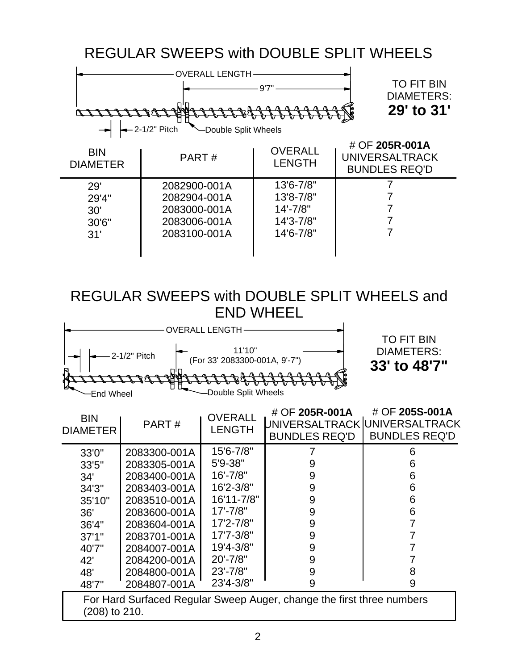## REGULAR SWEEPS with DOUBLE SPLIT WHEELS



### REGULAR SWEEPS with DOUBLE SPLIT WHEELS and END WHEEL

| OVERALL LENGTH                                           |                                                        |
|----------------------------------------------------------|--------------------------------------------------------|
| 11'10"<br>-2-1/2" Pitch<br>(For 33' 2083300-001A, 9'-7") | <b>TO FIT BIN</b><br><b>DIAMETERS:</b><br>33' to 48'7" |
| -Double Split Wheels<br>াd Whee।                         |                                                        |

| <b>BIN</b><br><b>DIAMETER</b> | PART#        | <b>OVERALL</b><br><b>LENGTH</b> | # OF 205R-001A<br>UNIVERSALTRACK  UNIVERSALTRACK<br><b>BUNDLES REQ'D</b> | # OF 205S-001A<br><b>BUNDLES REQ'D</b> |
|-------------------------------|--------------|---------------------------------|--------------------------------------------------------------------------|----------------------------------------|
| 33'0"                         | 2083300-001A | 15'6-7/8"                       |                                                                          | 6                                      |
| 33'5"                         | 2083305-001A | 5'9-38"                         | 9                                                                        | 6                                      |
| 34'                           | 2083400-001A | $16' - 7/8"$                    | 9                                                                        | 6                                      |
| 34'3"                         | 2083403-001A | 16'2-3/8"                       | 9                                                                        | 6                                      |
| 35'10"                        | 2083510-001A | 16'11-7/8"                      | 9                                                                        | 6                                      |
| 36'                           | 2083600-001A | $17' - 7/8"$                    | 9                                                                        | 6                                      |
| 36'4"                         | 2083604-001A | 17'2-7/8"                       | 9                                                                        |                                        |
| 37'1''                        | 2083701-001A | 17'7-3/8"                       | 9                                                                        |                                        |
| 40'7"                         | 2084007-001A | 19'4-3/8"                       | 9                                                                        |                                        |
| 42'                           | 2084200-001A | $20' - 7/8"$                    | 9                                                                        |                                        |
| 48'                           | 2084800-001A | $23' - 7/8"$                    | 9                                                                        | 8                                      |
| 48'7"                         | 2084807-001A | 23'4-3/8"                       | 9                                                                        | 9                                      |
|                               |              |                                 |                                                                          |                                        |

For Hard Surfaced Regular Sweep Auger, change the first three numbers (208) to 210.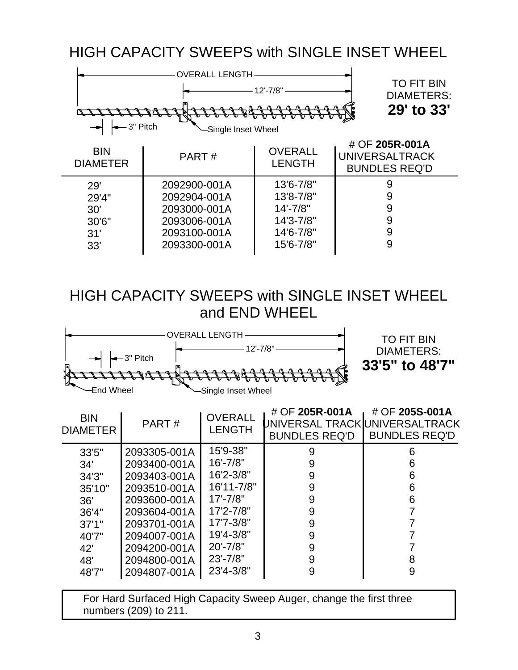HIGH CAPACITY SWEEPS with SINGLE INSET WHEEL



## HIGH CAPACITY SWEEPS with SINGLE INSET WHEEL and END WHEEL



| <b>BIN</b><br><b>DIAMETER</b> | PART#        | <b>OVERALL</b><br><b>LENGTH</b> | # OF 205R-001A<br>UNIVERSAL TRACK <b>I</b> UNIVERSALTRACK<br><b>BUNDLES REQ'D</b> | # OF 205S-001A<br><b>BUNDLES REQ'D</b> |
|-------------------------------|--------------|---------------------------------|-----------------------------------------------------------------------------------|----------------------------------------|
| 33'5"                         | 2093305-001A | 15'9-38"                        | 9                                                                                 | 6                                      |
| 34'                           | 2093400-001A | $16' - 7/8"$                    | 9                                                                                 | 6                                      |
| 34'3''                        | 2093403-001A | 16'2-3/8"                       | 9                                                                                 | 6                                      |
| 35'10"                        | 2093510-001A | 16'11-7/8"                      | 9                                                                                 | 6                                      |
| 36'                           | 2093600-001A | $17' - 7/8"$                    | 9                                                                                 | 6                                      |
| 36'4"                         | 2093604-001A | 17'2-7/8"                       | 9                                                                                 |                                        |
| 37'1''                        | 2093701-001A | 17'7-3/8"                       | 9                                                                                 |                                        |
| 40'7"                         | 2094007-001A | 19'4-3/8"                       | 9                                                                                 |                                        |
| 42'                           | 2094200-001A | $20' - 7/8"$                    | 9                                                                                 |                                        |
| 48'                           | 2094800-001A | $23' - 7/8"$                    | 9                                                                                 | 8                                      |
| 48'7"                         | 2094807-001A | $23'4 - 3/8"$                   | 9                                                                                 | 9                                      |

For Hard Surfaced High Capacity Sweep Auger, change the first three numbers (209) to 211.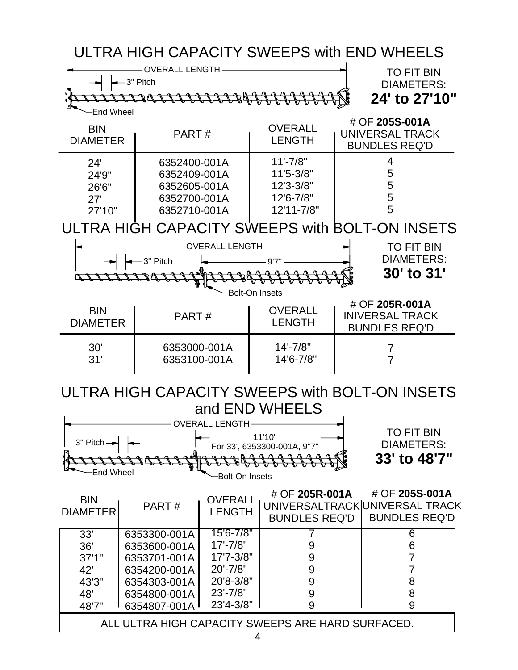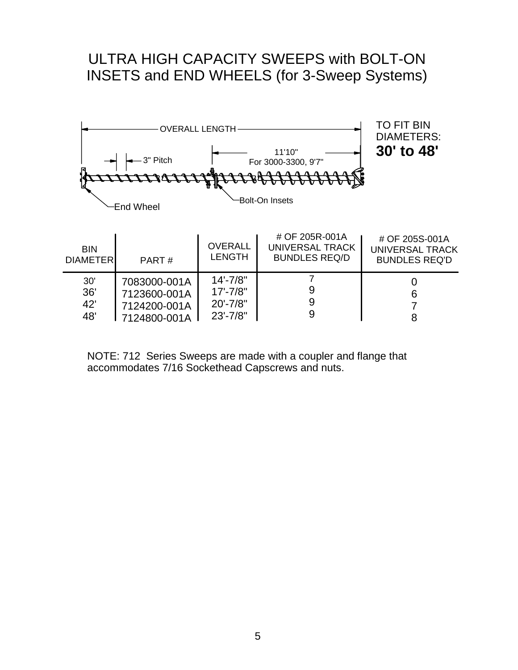### ULTRA HIGH CAPACITY SWEEPS with BOLT-ON INSETS and END WHEELS (for 3-Sweep Systems)



NOTE: 712 Series Sweeps are made with a coupler and flange that accommodates 7/16 Sockethead Capscrews and nuts.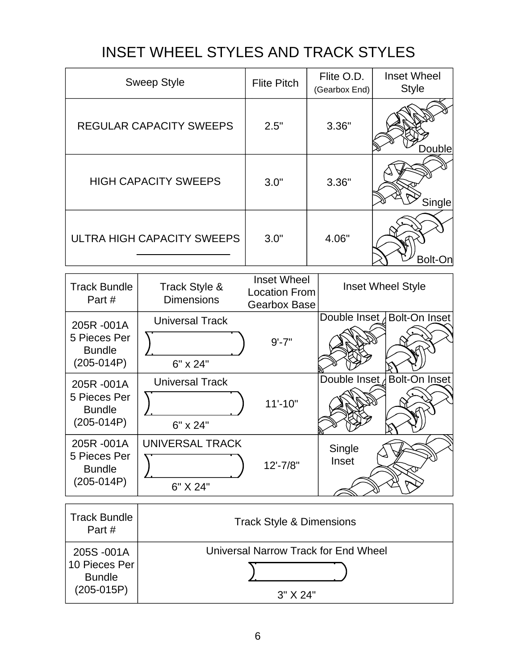# INSET WHEEL STYLES AND TRACK STYLES

| <b>Sweep Style</b>             | <b>Flite Pitch</b> | Flite O.D.<br>(Gearbox End) | <b>Inset Wheel</b><br><b>Style</b> |
|--------------------------------|--------------------|-----------------------------|------------------------------------|
| <b>REGULAR CAPACITY SWEEPS</b> | 2.5"               | 3.36"                       | Double                             |
| <b>HIGH CAPACITY SWEEPS</b>    | 3.0"               | 3.36"                       | Single                             |
| ULTRA HIGH CAPACITY SWEEPS     | 3.0"               | 4.06"                       | Bolt-                              |

| <b>Track Bundle</b><br>Part#                                | Track Style &<br><b>Dimensions</b>               | <b>Inset Wheel</b><br><b>Location From</b><br><b>Gearbox Base</b> | <b>Inset Wheel Style</b> |                              |
|-------------------------------------------------------------|--------------------------------------------------|-------------------------------------------------------------------|--------------------------|------------------------------|
| 205R-001A<br>5 Pieces Per<br><b>Bundle</b><br>$(205-014P)$  | <b>Universal Track</b><br>6" x 24"               | $9' - 7"$                                                         |                          | Double Inset Bolt-On Inset   |
| 205R-001A<br>5 Pieces Per<br><b>Bundle</b><br>$(205-014P)$  | <b>Universal Track</b><br>6" x 24"               | $11'-10"$                                                         |                          | Double Inset / Bolt-On Inset |
| 205R-001A<br>5 Pieces Per<br><b>Bundle</b><br>$(205-014P)$  | UNIVERSAL TRACK<br>6" X 24"                      | $12' - 7/8"$                                                      | Single<br>Inset          |                              |
| <b>Track Bundle</b><br>Part#                                | <b>Track Style &amp; Dimensions</b>              |                                                                   |                          |                              |
| 205S-001A<br>10 Pieces Per<br><b>Bundle</b><br>$(205-015P)$ | Universal Narrow Track for End Wheel<br>3" X 24" |                                                                   |                          |                              |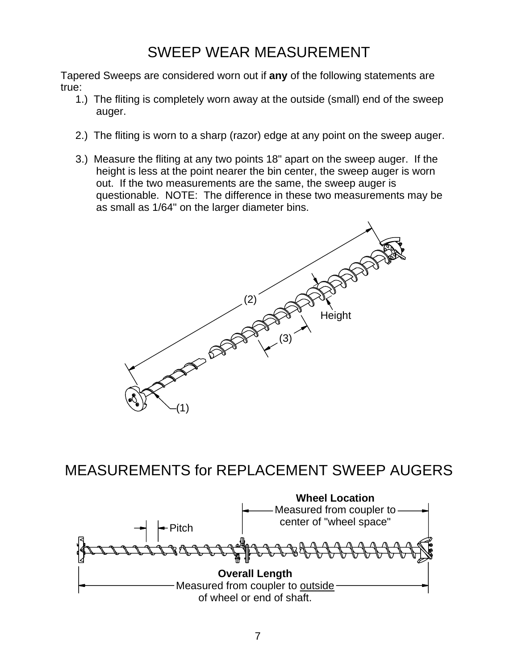# SWEEP WEAR MEASUREMENT

Tapered Sweeps are considered worn out if **any** of the following statements are true:

- 1.) The fliting is completely worn away at the outside (small) end of the sweep auger.
- 2.) The fliting is worn to a sharp (razor) edge at any point on the sweep auger.
- 3.) Measure the fliting at any two points 18" apart on the sweep auger. If the height is less at the point nearer the bin center, the sweep auger is worn out. If the two measurements are the same, the sweep auger is questionable. NOTE: The difference in these two measurements may be as small as 1/64" on the larger diameter bins.



MEASUREMENTS for REPLACEMENT SWEEP AUGERS

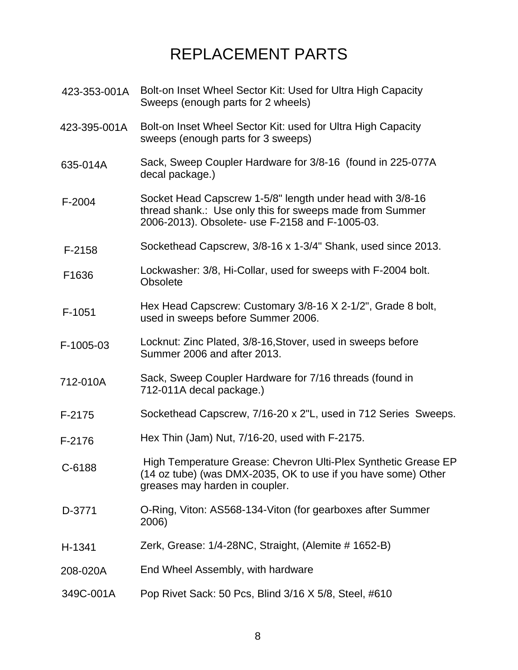# REPLACEMENT PARTS

- Bolt-on Inset Wheel Sector Kit: Used for Ultra High Capacity Sweeps (enough parts for 2 wheels) 423-353-001A
- Bolt-on Inset Wheel Sector Kit: used for Ultra High Capacity sweeps (enough parts for 3 sweeps) 423-395-001A
- Sack, Sweep Coupler Hardware for 3/8-16 (found in 225-077A decal package.) 635-014A
- Socket Head Capscrew 1-5/8" length under head with 3/8-16 thread shank.: Use only this for sweeps made from Summer 2006-2013). Obsolete- use F-2158 and F-1005-03. F-2004
- Sockethead Capscrew, 3/8-16 x 1-3/4" Shank, used since 2013. F-2158
- Lockwasher: 3/8, Hi-Collar, used for sweeps with F-2004 bolt. **Obsolete** F1636
- Hex Head Capscrew: Customary 3/8-16 X 2-1/2", Grade 8 bolt, used in sweeps before Summer 2006. F-1051
- Locknut: Zinc Plated, 3/8-16,Stover, used in sweeps before Summer 2006 and after 2013. F-1005-03
- Sack, Sweep Coupler Hardware for 7/16 threads (found in 712-011A decal package.) 712-010A
- Sockethead Capscrew, 7/16-20 x 2"L, used in 712 Series Sweeps. F-2175
- Hex Thin (Jam) Nut, 7/16-20, used with F-2175. F-2176
- High Temperature Grease: Chevron Ulti-Plex Synthetic Grease EP (14 oz tube) (was DMX-2035, OK to use if you have some) Other greases may harden in coupler. C-6188
- O-Ring, Viton: AS568-134-Viton (for gearboxes after Summer 2006) D-3771
- Zerk, Grease: 1/4-28NC, Straight, (Alemite # 1652-B) H-1341
- End Wheel Assembly, with hardware 208-020A
- Pop Rivet Sack: 50 Pcs, Blind 3/16 X 5/8, Steel, #610 349C-001A